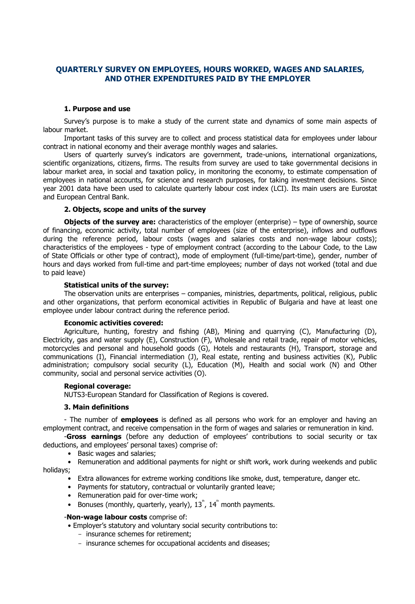# **QUARTERLY SURVEY ON EMPLOYEES, HOURS WORKED, WAGES AND SALARIES, AND OTHER EXPENDITURES PAID BY THE EMPLOYER**

### **1. Purpose and use**

Survey's purpose is to make a study of the current state and dynamics of some main aspects of labour market.

Important tasks of this survey are to collect and process statistical data for employees under labour contract in national economy and their average monthly wages and salaries.

Users of quarterly survey's indicators are government, trade-unions, international organizations, scientific organizations, citizens, firms. The results from survey are used to take governmental decisions in labour market area, in social and taxation policy, in monitoring the economy, to estimate compensation of employees in national accounts, for science and research purposes, for taking investment decisions. Since year 2001 data have been used to calculate quarterly labour cost index (LCI). Its main users are Eurostat and European Central Bank.

## **2. Objects, scope and units of the survey**

**Objects of the survey are:** characteristics of the employer (enterprise) – type of ownership, source of financing, economic activity, total number of employees (size of the enterprise), inflows and outflows during the reference period, labour costs (wages and salaries costs and non-wage labour costs); characteristics of the employees - type of employment contract (according to the Labour Code, to the Law of State Officials or other type of contract), mode of employment (full-time/part-time), gender, number of hours and days worked from full-time and part-time employees; number of days not worked (total and due to paid leave)

### **Statistical units of the survey:**

The observation units are enterprises – companies, ministries, departments, political, religious, public and other organizations, that perform economical activities in Republic of Bulgaria and have at least one employee under labour contract during the reference period.

### **Economic activities covered:**

Agriculture, hunting, forestry and fishing (AB), Mining and quarrying (C), Manufacturing (D), Electricity, gas and water supply (E), Construction (F), Wholesale and retail trade, repair of motor vehicles, motorcycles and personal and household goods (G), Hotels and restaurants (H), Transport, storage and communications (I), Financial intermediation (J), Real estate, renting and business activities (K), Public administration; compulsory social security (L), Education (M), Health and social work (N) and Other community, social and personal service activities (O).

### **Regional coverage:**

NUTS3-European Standard for Classification of Regions is covered.

### **3. Main definitions**

- The number of **employees** is defined as all persons who work for an employer and having an employment contract, and receive compensation in the form of wages and salaries or remuneration in kind.

-**Gross earnings** (before any deduction of employees' contributions to social security or tax deductions, and employees' personal taxes) comprise of:

• Basic wages and salaries;

• Remuneration and additional payments for night or shift work, work during weekends and public holidays;

- Extra allowances for extreme working conditions like smoke, dust, temperature, danger etc.
- Payments for statutory, contractual or voluntarily granted leave;
- Remuneration paid for over-time work;
- Bonuses (monthly, quarterly, yearly),  $13^{\degree}$ ,  $14^{\degree}$  month payments.

### -**Non-wage labour costs** comprise of:

• Employer's statutory and voluntary social security contributions to:

- insurance schemes for retirement;
- insurance schemes for occupational accidents and diseases;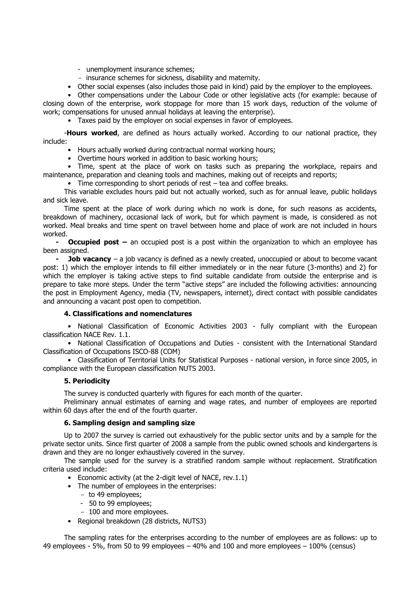- unemployment insurance schemes;
- insurance schemes for sickness, disability and maternity.
- Other social expenses (also includes those paid in kind) paid by the employer to the employees.

• Other compensations under the Labour Code or other legislative acts (for example: because of closing down of the enterprise, work stoppage for more than 15 work days, reduction of the volume of work; compensations for unused annual holidays at leaving the enterprise).

• Taxes paid by the employer on social expenses in favor of employees.

-**Hours worked**, are defined as hours actually worked. According to our national practice, they include:

- Hours actually worked during contractual normal working hours;
- Overtime hours worked in addition to basic working hours;

• Time, spent at the place of work on tasks such as preparing the workplace, repairs and maintenance, preparation and cleaning tools and machines, making out of receipts and reports;

• Time corresponding to short periods of rest – tea and coffee breaks.

This variable excludes hours paid but not actually worked, such as for annual leave, public holidays and sick leave.

Time spent at the place of work during which no work is done, for such reasons as accidents, breakdown of machinery, occasional lack of work, but for which payment is made, is considered as not worked. Meal breaks and time spent on travel between home and place of work are not included in hours worked.

**- Occupied post –** an occupied post is a post within the organization to which an employee has been assigned.

**- Job vacancy** – a job vacancy is defined as a newly created, unoccupied or about to become vacant post: 1) which the employer intends to fill either immediately or in the near future (3-months) and 2) for which the employer is taking active steps to find suitable candidate from outside the enterprise and is prepare to take more steps. Under the term "active steps" are included the following activities: announcing the post in Employment Agency, media (TV, newspapers, internet), direct contact with possible candidates and announcing a vacant post open to competition.

## **4. Classifications and nomenclatures**

• National Classification of Economic Activities 2003 - fully compliant with the European classification NACE Rev. 1.1.

• National Classification of Occupations and Duties - consistent with the International Standard Classification of Occupations ISCO-88 (COM)

• Classification of Territorial Units for Statistical Purposes - national version, in force since 2005, in compliance with the European classification NUTS 2003.

## **5. Periodicity**

The survey is conducted quarterly with figures for each month of the quarter.

Preliminary annual estimates of earning and wage rates, and number of employees are reported within 60 days after the end of the fourth quarter.

## **6. Sampling design and sampling size**

Up to 2007 the survey is carried out exhaustively for the public sector units and by a sample for the private sector units. Since first quarter of 2008 a sample from the public owned schools and kindergartens is drawn and they are no longer exhaustively covered in the survey.

The sample used for the survey is a stratified random sample without replacement. Stratification criteria used include:

- Economic activity (at the 2-digit level of NACE, rev.1.1)
- The number of employees in the enterprises:
	- to 49 employees;
	- 50 to 99 employees;
	- 100 and more employees.
- Regional breakdown (28 districts, NUTS3)

The sampling rates for the enterprises according to the number of employees are as follows: up to 49 employees - 5%, from 50 to 99 employees – 40% and 100 and more employees – 100% (census)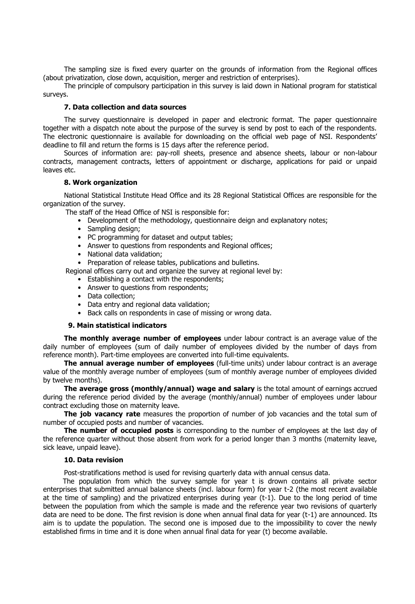The sampling size is fixed every quarter on the grounds of information from the Regional offices (about privatization, close down, acquisition, merger and restriction of enterprises).

The principle of compulsory participation in this survey is laid down in National program for statistical surveys.

## **7. Data collection and data sources**

The survey questionnaire is developed in paper and electronic format. The paper questionnaire together with a dispatch note about the purpose of the survey is send by post to each of the respondents. The electronic questionnaire is available for downloading on the official web page of NSI. Respondents' deadline to fill and return the forms is 15 days after the reference period.

Sources of information are: pay-roll sheets, presence and absence sheets, labour or non-labour contracts, management contracts, letters of appointment or discharge, applications for paid or unpaid leaves etc.

### **8. Work organization**

National Statistical Institute Head Office and its 28 Regional Statistical Offices are responsible for the organization of the survey.

The staff of the Head Office of NSI is responsible for:

- Development of the methodology, questionnaire deign and explanatory notes;
- Sampling design;
- PC programming for dataset and output tables;
- Answer to questions from respondents and Regional offices;
- National data validation;
- Preparation of release tables, publications and bulletins.

Regional offices carry out and organize the survey at regional level by:

- Establishing a contact with the respondents;
- Answer to questions from respondents;
- Data collection;
- Data entry and regional data validation;
- Back calls on respondents in case of missing or wrong data.

### **9. Main statistical indicators**

**The monthly average number of employees** under labour contract is an average value of the daily number of employees (sum of daily number of employees divided by the number of days from reference month). Part-time employees are converted into full-time equivalents.

**The annual average number of employees** (full-time units) under labour contract is an average value of the monthly average number of employees (sum of monthly average number of employees divided by twelve months).

**The average gross (monthly/annual) wage and salary** is the total amount of earnings accrued during the reference period divided by the average (monthly/annual) number of employees under labour contract excluding those on maternity leave.

**The job vacancy rate** measures the proportion of number of job vacancies and the total sum of number of occupied posts and number of vacancies.

**The number of occupied posts** is corresponding to the number of employees at the last day of the reference quarter without those absent from work for a period longer than 3 months (maternity leave, sick leave, unpaid leave).

### **10. Data revision**

Post-stratifications method is used for revising quarterly data with annual census data.

The population from which the survey sample for year t is drown contains all private sector enterprises that submitted annual balance sheets (incl. labour form) for year t-2 (the most recent available at the time of sampling) and the privatized enterprises during year (t-1). Due to the long period of time between the population from which the sample is made and the reference year two revisions of quarterly data are need to be done. The first revision is done when annual final data for year (t-1) are announced. Its aim is to update the population. The second one is imposed due to the impossibility to cover the newly established firms in time and it is done when annual final data for year (t) become available.